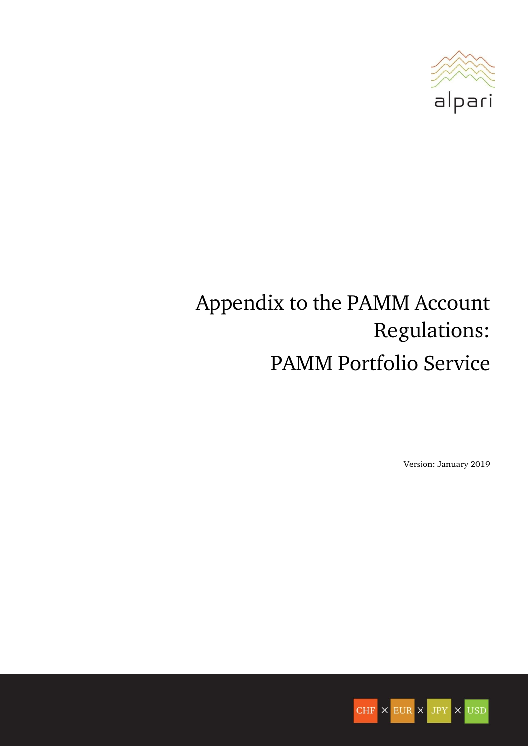

# Appendix to the PAMM Account Regulations: PAMM Portfolio Service

Version: January 2019

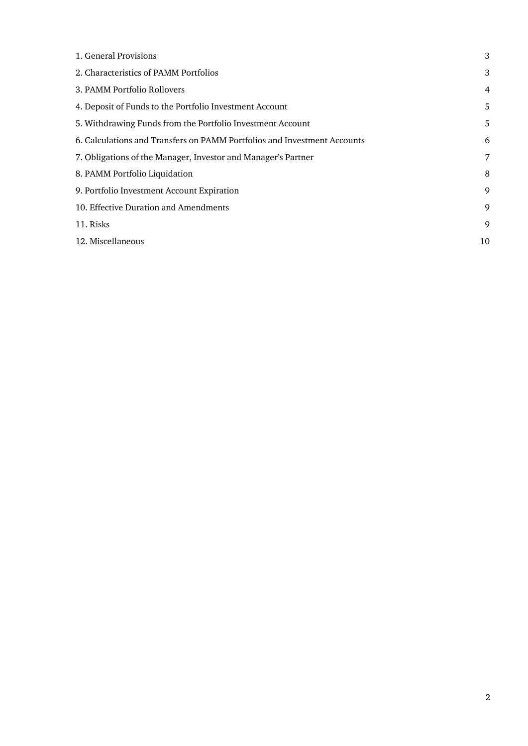| 2. Characteristics of PAMM Portfolios<br>3. PAMM Portfolio Rollovers<br>4. Deposit of Funds to the Portfolio Investment Account<br>5. Withdrawing Funds from the Portfolio Investment Account<br>6. Calculations and Transfers on PAMM Portfolios and Investment Accounts<br>7. Obligations of the Manager, Investor and Manager's Partner<br>8. PAMM Portfolio Liquidation<br>9. Portfolio Investment Account Expiration<br>10. Effective Duration and Amendments<br>11. Risks<br>12. Miscellaneous | 1. General Provisions | 3  |
|------------------------------------------------------------------------------------------------------------------------------------------------------------------------------------------------------------------------------------------------------------------------------------------------------------------------------------------------------------------------------------------------------------------------------------------------------------------------------------------------------|-----------------------|----|
|                                                                                                                                                                                                                                                                                                                                                                                                                                                                                                      |                       | 3  |
|                                                                                                                                                                                                                                                                                                                                                                                                                                                                                                      |                       | 4  |
|                                                                                                                                                                                                                                                                                                                                                                                                                                                                                                      |                       | 5  |
|                                                                                                                                                                                                                                                                                                                                                                                                                                                                                                      |                       | 5  |
|                                                                                                                                                                                                                                                                                                                                                                                                                                                                                                      |                       | 6  |
|                                                                                                                                                                                                                                                                                                                                                                                                                                                                                                      |                       | 7  |
|                                                                                                                                                                                                                                                                                                                                                                                                                                                                                                      |                       | 8  |
|                                                                                                                                                                                                                                                                                                                                                                                                                                                                                                      |                       | 9  |
|                                                                                                                                                                                                                                                                                                                                                                                                                                                                                                      |                       | 9  |
|                                                                                                                                                                                                                                                                                                                                                                                                                                                                                                      |                       | 9  |
|                                                                                                                                                                                                                                                                                                                                                                                                                                                                                                      |                       | 10 |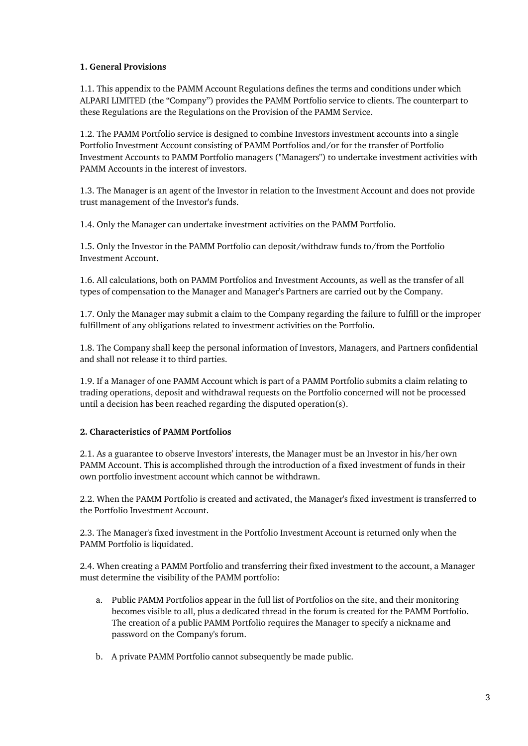## <span id="page-2-0"></span>**1. General Provisions**

1.1. This appendix to the PAMM Account Regulations defines the terms and conditions under which ALPARI LIMITED (the "Company") provides the PAMM Portfolio service to clients. The counterpart to these Regulations are the Regulations on the Provision of the PAMM Service.

1.2. The PAMM Portfolio service is designed to combine Investors investment accounts into a single Portfolio Investment Account consisting of PAMM Portfolios and/or for the transfer of Portfolio Investment Accounts to PAMM Portfolio managers ("Managers") to undertake investment activities with PAMM Accounts in the interest of investors.

1.3. The Manager is an agent of the Investor in relation to the Investment Account and does not provide trust management of the Investor's funds.

1.4. Only the Manager can undertake investment activities on the PAMM Portfolio.

1.5. Only the Investor in the PAMM Portfolio can deposit/withdraw funds to/from the Portfolio Investment Account.

1.6. All calculations, both on PAMM Portfolios and Investment Accounts, as well as the transfer of all types of compensation to the Manager and Manager's Partners are carried out by the Company.

1.7. Only the Manager may submit a claim to the Company regarding the failure to fulfill or the improper fulfillment of any obligations related to investment activities on the Portfolio.

1.8. The Company shall keep the personal information of Investors, Managers, and Partners confidential and shall not release it to third parties.

1.9. If a Manager of one PAMM Account which is part of a PAMM Portfolio submits a claim relating to trading operations, deposit and withdrawal requests on the Portfolio concerned will not be processed until a decision has been reached regarding the disputed operation(s).

# <span id="page-2-1"></span>**2. Characteristics of PAMM Portfolios**

2.1. As a guarantee to observe Investors' interests, the Manager must be an Investor in his/her own PAMM Account. This is accomplished through the introduction of a fixed investment of funds in their own portfolio investment account which cannot be withdrawn.

2.2. When the PAMM Portfolio is created and activated, the Manager's fixed investment is transferred to the Portfolio Investment Account.

2.3. The Manager's fixed investment in the Portfolio Investment Account is returned only when the PAMM Portfolio is liquidated.

2.4. When creating a PAMM Portfolio and transferring their fixed investment to the account, a Manager must determine the visibility of the PAMM portfolio:

- a. Public PAMM Portfolios appear in the full list of Portfolios on the site, and their monitoring becomes visible to all, plus a dedicated thread in the forum is created for the PAMM Portfolio. The creation of a public PAMM Portfolio requires the Manager to specify a nickname and password on the Company's forum.
- b. A private PAMM Portfolio cannot subsequently be made public.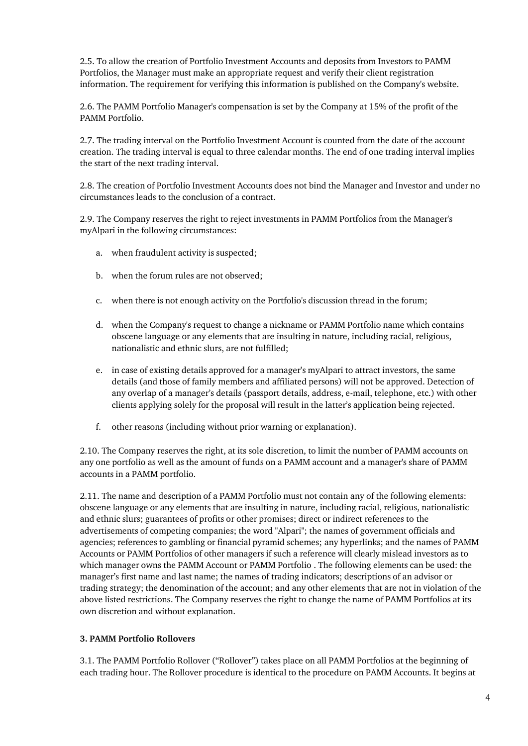2.5. To allow the creation of Portfolio Investment Accounts and deposits from Investors to PAMM Portfolios, the Manager must make an appropriate request and verify their client registration information. The requirement for verifying this information is published on the Company's website.

2.6. The PAMM Portfolio Manager's compensation is set by the Company at 15% of the profit of the PAMM Portfolio.

2.7. The trading interval on the Portfolio Investment Account is counted from the date of the account creation. The trading interval is equal to three calendar months. The end of one trading interval implies the start of the next trading interval.

2.8. The creation of Portfolio Investment Accounts does not bind the Manager and Investor and under no circumstances leads to the conclusion of a contract.

2.9. The Company reserves the right to reject investments in PAMM Portfolios from the Manager's myAlpari in the following circumstances:

- a. when fraudulent activity is suspected;
- b. when the forum rules are not observed;
- c. when there is not enough activity on the Portfolio's discussion thread in the forum;
- d. when the Company's request to change a nickname or PAMM Portfolio name which contains obscene language or any elements that are insulting in nature, including racial, religious, nationalistic and ethnic slurs, are not fulfilled;
- e. in case of existing details approved for a manager's myAlpari to attract investors, the same details (and those of family members and affiliated persons) will not be approved. Detection of any overlap of a manager's details (passport details, address, e-mail, telephone, etc.) with other clients applying solely for the proposal will result in the latter's application being rejected.
- f. other reasons (including without prior warning or explanation).

2.10. The Company reserves the right, at its sole discretion, to limit the number of PAMM accounts on any one portfolio as well as the amount of funds on a PAMM account and a manager's share of PAMM accounts in a PAMM portfolio.

2.11. The name and description of a PAMM Portfolio must not contain any of the following elements: obscene language or any elements that are insulting in nature, including racial, religious, nationalistic and ethnic slurs; guarantees of profits or other promises; direct or indirect references to the advertisements of competing companies; the word "Alpari"; the names of government officials and agencies; references to gambling or financial pyramid schemes; any hyperlinks; and the names of PAMM Accounts or PAMM Portfolios of other managers if such a reference will clearly mislead investors as to which manager owns the PAMM Account or PAMM Portfolio . The following elements can be used: the manager's first name and last name; the names of trading indicators; descriptions of an advisor or trading strategy; the denomination of the account; and any other elements that are not in violation of the above listed restrictions. The Company reserves the right to change the name of PAMM Portfolios at its own discretion and without explanation.

# <span id="page-3-0"></span>**3. PAMM Portfolio Rollovers**

3.1. The PAMM Portfolio Rollover ("Rollover") takes place on all PAMM Portfolios at the beginning of each trading hour. The Rollover procedure is identical to the procedure on PAMM Accounts. It begins at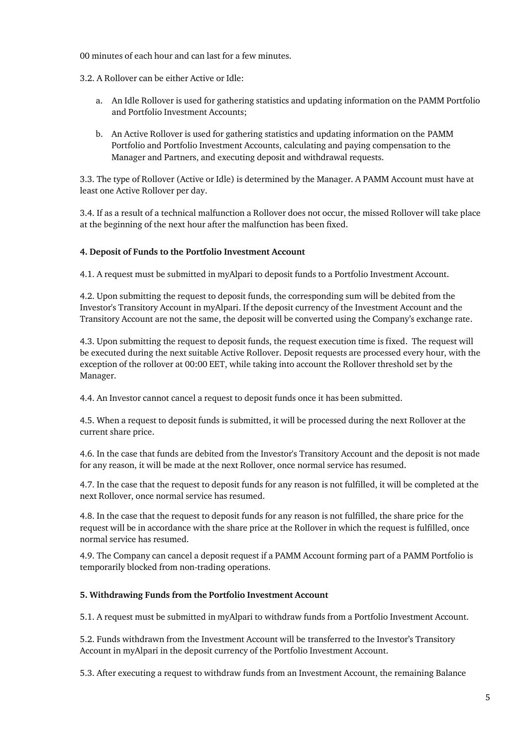00 minutes of each hour and can last for a few minutes.

3.2. A Rollover can be either Active or Idle:

- a. An Idle Rollover is used for gathering statistics and updating information on the PAMM Portfolio and Portfolio Investment Accounts;
- b. An Active Rollover is used for gathering statistics and updating information on the PAMM Portfolio and Portfolio Investment Accounts, calculating and paying compensation to the Manager and Partners, and executing deposit and withdrawal requests.

3.3. The type of Rollover (Active or Idle) is determined by the Manager. A PAMM Account must have at least one Active Rollover per day.

3.4. If as a result of a technical malfunction a Rollover does not occur, the missed Rollover will take place at the beginning of the next hour after the malfunction has been fixed.

# <span id="page-4-0"></span>**4. Deposit of Funds to the Portfolio Investment Account**

4.1. A request must be submitted in myAlpari to deposit funds to a Portfolio Investment Account.

4.2. Upon submitting the request to deposit funds, the corresponding sum will be debited from the Investor's Transitory Account in myAlpari. If the deposit currency of the Investment Account and the Transitory Account are not the same, the deposit will be converted using the Company's exchange rate.

4.3. Upon submitting the request to deposit funds, the request execution time is fixed. The request will be executed during the next suitable Active Rollover. Deposit requests are processed every hour, with the exception of the rollover at 00:00 EET, while taking into account the Rollover threshold set by the Manager.

4.4. An Investor cannot cancel a request to deposit funds once it has been submitted.

4.5. When a request to deposit funds is submitted, it will be processed during the next Rollover at the current share price.

4.6. In the case that funds are debited from the Investor's Transitory Account and the deposit is not made for any reason, it will be made at the next Rollover, once normal service has resumed.

4.7. In the case that the request to deposit funds for any reason is not fulfilled, it will be completed at the next Rollover, once normal service has resumed.

4.8. In the case that the request to deposit funds for any reason is not fulfilled, the share price for the request will be in accordance with the share price at the Rollover in which the request is fulfilled, once normal service has resumed.

4.9. The Company can cancel a deposit request if a PAMM Account forming part of a PAMM Portfolio is temporarily blocked from non-trading operations.

#### <span id="page-4-1"></span>**5. Withdrawing Funds from the Portfolio Investment Account**

5.1. A request must be submitted in myAlpari to withdraw funds from a Portfolio Investment Account.

5.2. Funds withdrawn from the Investment Account will be transferred to the Investor's Transitory Account in myAlpari in the deposit currency of the Portfolio Investment Account.

5.3. After executing a request to withdraw funds from an Investment Account, the remaining Balance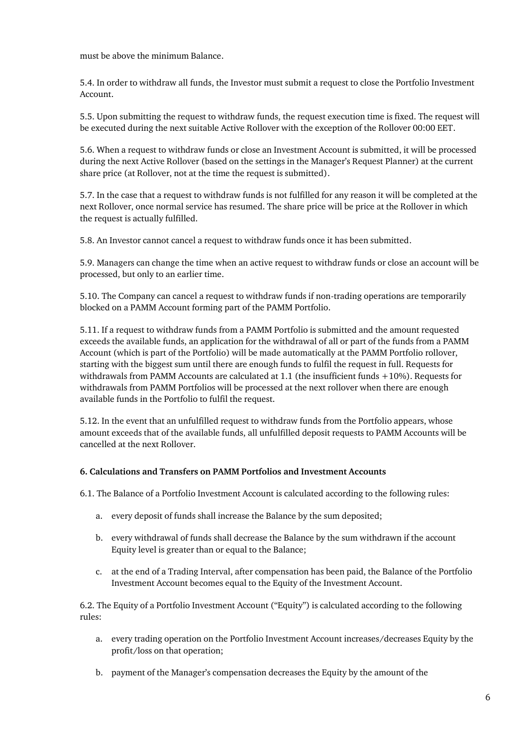must be above the minimum Balance.

5.4. In order to withdraw all funds, the Investor must submit a request to close the Portfolio Investment Account.

5.5. Upon submitting the request to withdraw funds, the request execution time is fixed. The request will be executed during the next suitable Active Rollover with the exception of the Rollover 00:00 EET.

5.6. When a request to withdraw funds or close an Investment Account is submitted, it will be processed during the next Active Rollover (based on the settings in the Manager's Request Planner) at the current share price (at Rollover, not at the time the request is submitted).

5.7. In the case that a request to withdraw funds is not fulfilled for any reason it will be completed at the next Rollover, once normal service has resumed. The share price will be price at the Rollover in which the request is actually fulfilled.

5.8. An Investor cannot cancel a request to withdraw funds once it has been submitted.

5.9. Managers can change the time when an active request to withdraw funds or close an account will be processed, but only to an earlier time.

5.10. The Company can cancel a request to withdraw funds if non-trading operations are temporarily blocked on a PAMM Account forming part of the PAMM Portfolio.

5.11. If a request to withdraw funds from a PAMM Portfolio is submitted and the amount requested exceeds the available funds, an application for the withdrawal of all or part of the funds from a PAMM Account (which is part of the Portfolio) will be made automatically at the PAMM Portfolio rollover, starting with the biggest sum until there are enough funds to fulfil the request in full. Requests for withdrawals from PAMM Accounts are calculated at 1.1 (the insufficient funds +10%). Requests for withdrawals from PAMM Portfolios will be processed at the next rollover when there are enough available funds in the Portfolio to fulfil the request.

5.12. In the event that an unfulfilled request to withdraw funds from the Portfolio appears, whose amount exceeds that of the available funds, all unfulfilled deposit requests to PAMM Accounts will be cancelled at the next Rollover.

#### <span id="page-5-0"></span>**6. Calculations and Transfers on PAMM Portfolios and Investment Accounts**

6.1. The Balance of a Portfolio Investment Account is calculated according to the following rules:

- a. every deposit of funds shall increase the Balance by the sum deposited;
- b. every withdrawal of funds shall decrease the Balance by the sum withdrawn if the account Equity level is greater than or equal to the Balance;
- c. at the end of a Trading Interval, after compensation has been paid, the Balance of the Portfolio Investment Account becomes equal to the Equity of the Investment Account.

6.2. The Equity of a Portfolio Investment Account ("Equity") is calculated according to the following rules:

- a. every trading operation on the Portfolio Investment Account increases/decreases Equity by the profit/loss on that operation;
- b. payment of the Manager's compensation decreases the Equity by the amount of the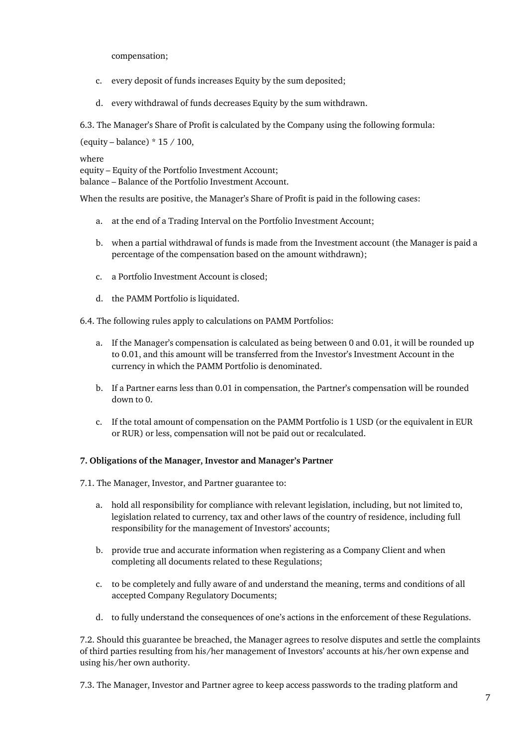compensation;

- c. every deposit of funds increases Equity by the sum deposited;
- d. every withdrawal of funds decreases Equity by the sum withdrawn.

6.3. The Manager's Share of Profit is calculated by the Company using the following formula:

(equity – balance)  $* 15 / 100$ ,

where

equity – Equity of the Portfolio Investment Account; balance – Balance of the Portfolio Investment Account.

When the results are positive, the Manager's Share of Profit is paid in the following cases:

- a. at the end of a Trading Interval on the Portfolio Investment Account;
- b. when a partial withdrawal of funds is made from the Investment account (the Manager is paid a percentage of the compensation based on the amount withdrawn);
- c. a Portfolio Investment Account is closed;
- d. the PAMM Portfolio is liquidated.

6.4. The following rules apply to calculations on PAMM Portfolios:

- a. If the Manager's compensation is calculated as being between 0 and 0.01, it will be rounded up to 0.01, and this amount will be transferred from the Investor's Investment Account in the currency in which the PAMM Portfolio is denominated.
- b. If a Partner earns less than 0.01 in compensation, the Partner's compensation will be rounded down to 0.
- c. If the total amount of compensation on the PAMM Portfolio is 1 USD (or the equivalent in EUR or RUR) or less, compensation will not be paid out or recalculated.

#### <span id="page-6-0"></span>**7. Obligations of the Manager, Investor and Manager's Partner**

7.1. The Manager, Investor, and Partner guarantee to:

- a. hold all responsibility for compliance with relevant legislation, including, but not limited to, legislation related to currency, tax and other laws of the country of residence, including full responsibility for the management of Investors' accounts;
- b. provide true and accurate information when registering as a Company Client and when completing all documents related to these Regulations;
- c. to be completely and fully aware of and understand the meaning, terms and conditions of all accepted Company Regulatory Documents;
- d. to fully understand the consequences of one's actions in the enforcement of these Regulations.

7.2. Should this guarantee be breached, the Manager agrees to resolve disputes and settle the complaints of third parties resulting from his/her management of Investors' accounts at his/her own expense and using his/her own authority.

7.3. The Manager, Investor and Partner agree to keep access passwords to the trading platform and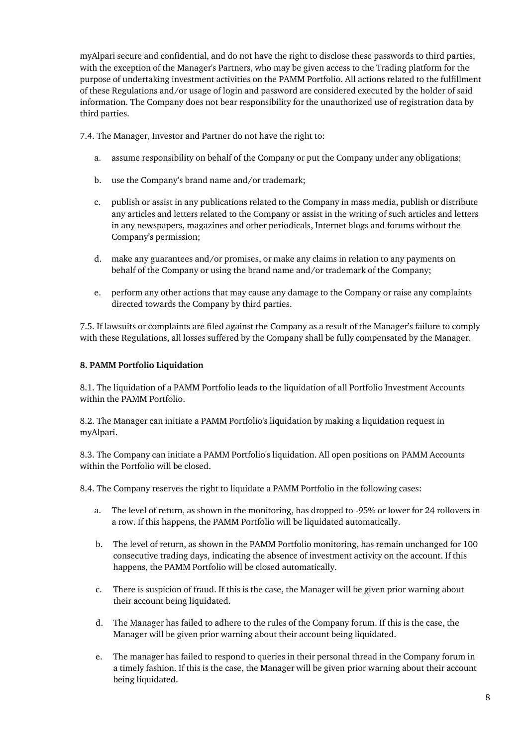myAlpari secure and confidential, and do not have the right to disclose these passwords to third parties, with the exception of the Manager's Partners, who may be given access to the Trading platform for the purpose of undertaking investment activities on the PAMM Portfolio. All actions related to the fulfillment of these Regulations and/or usage of login and password are considered executed by the holder of said information. The Company does not bear responsibility for the unauthorized use of registration data by third parties.

7.4. The Manager, Investor and Partner do not have the right to:

- a. assume responsibility on behalf of the Company or put the Company under any obligations;
- b. use the Company's brand name and/or trademark;
- c. publish or assist in any publications related to the Company in mass media, publish or distribute any articles and letters related to the Company or assist in the writing of such articles and letters in any newspapers, magazines and other periodicals, Internet blogs and forums without the Company's permission;
- d. make any guarantees and/or promises, or make any claims in relation to any payments on behalf of the Company or using the brand name and/or trademark of the Company;
- e. perform any other actions that may cause any damage to the Company or raise any complaints directed towards the Company by third parties.

7.5. If lawsuits or complaints are filed against the Company as a result of the Manager's failure to comply with these Regulations, all losses suffered by the Company shall be fully compensated by the Manager.

## <span id="page-7-0"></span>**8. PAMM Portfolio Liquidation**

8.1. The liquidation of a PAMM Portfolio leads to the liquidation of all Portfolio Investment Accounts within the PAMM Portfolio.

8.2. The Manager can initiate a PAMM Portfolio's liquidation by making a liquidation request in myAlpari.

8.3. The Company can initiate a PAMM Portfolio's liquidation. All open positions on PAMM Accounts within the Portfolio will be closed.

8.4. The Company reserves the right to liquidate a PAMM Portfolio in the following cases:

- a. The level of return, as shown in the monitoring, has dropped to -95% or lower for 24 rollovers in a row. If this happens, the PAMM Portfolio will be liquidated automatically.
- b. The level of return, as shown in the PAMM Portfolio monitoring, has remain unchanged for 100 consecutive trading days, indicating the absence of investment activity on the account. If this happens, the PAMM Portfolio will be closed automatically.
- c. There is suspicion of fraud. If this is the case, the Manager will be given prior warning about their account being liquidated.
- d. The Manager has failed to adhere to the rules of the Company forum. If this is the case, the Manager will be given prior warning about their account being liquidated.
- e. The manager has failed to respond to queries in their personal thread in the Company forum in a timely fashion. If this is the case, the Manager will be given prior warning about their account being liquidated.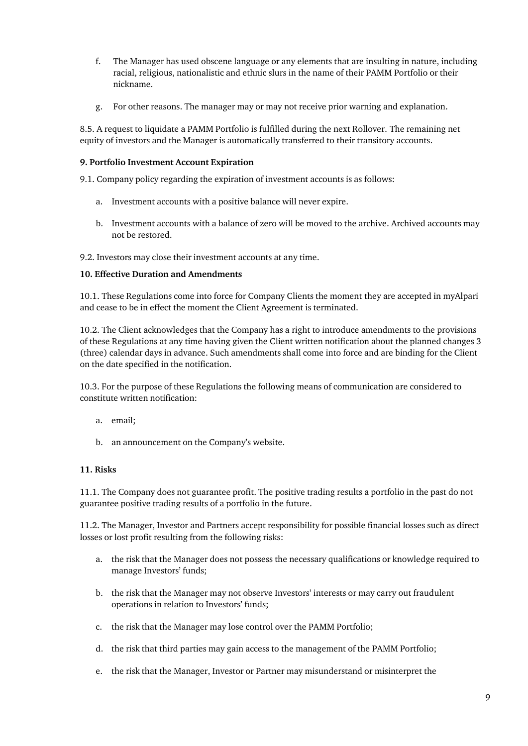- f. The Manager has used obscene language or any elements that are insulting in nature, including racial, religious, nationalistic and ethnic slurs in the name of their PAMM Portfolio or their nickname.
- g. For other reasons. The manager may or may not receive prior warning and explanation.

8.5. A request to liquidate a PAMM Portfolio is fulfilled during the next Rollover. The remaining net equity of investors and the Manager is automatically transferred to their transitory accounts.

#### <span id="page-8-0"></span>**9. Portfolio Investment Account Expiration**

9.1. Company policy regarding the expiration of investment accounts is as follows:

- a. Investment accounts with a positive balance will never expire.
- b. Investment accounts with a balance of zero will be moved to the archive. Archived accounts may not be restored.

9.2. Investors may close their investment accounts at any time.

## <span id="page-8-1"></span>**10. Effective Duration and Amendments**

10.1. These Regulations come into force for Company Clients the moment they are accepted in myAlpari and cease to be in effect the moment the Client Agreement is terminated.

10.2. The Client acknowledges that the Company has a right to introduce amendments to the provisions of these Regulations at any time having given the Client written notification about the planned changes 3 (three) calendar days in advance. Such amendments shall come into force and are binding for the Client on the date specified in the notification.

10.3. For the purpose of these Regulations the following means of communication are considered to constitute written notification:

- a. email;
- b. an announcement on the Company's website.

# <span id="page-8-2"></span>**11. Risks**

11.1. The Company does not guarantee profit. The positive trading results a portfolio in the past do not guarantee positive trading results of a portfolio in the future.

11.2. The Manager, Investor and Partners accept responsibility for possible financial losses such as direct losses or lost profit resulting from the following risks:

- a. the risk that the Manager does not possess the necessary qualifications or knowledge required to manage Investors' funds;
- b. the risk that the Manager may not observe Investors' interests or may carry out fraudulent operations in relation to Investors' funds;
- c. the risk that the Manager may lose control over the PAMM Portfolio;
- d. the risk that third parties may gain access to the management of the PAMM Portfolio;
- e. the risk that the Manager, Investor or Partner may misunderstand or misinterpret the